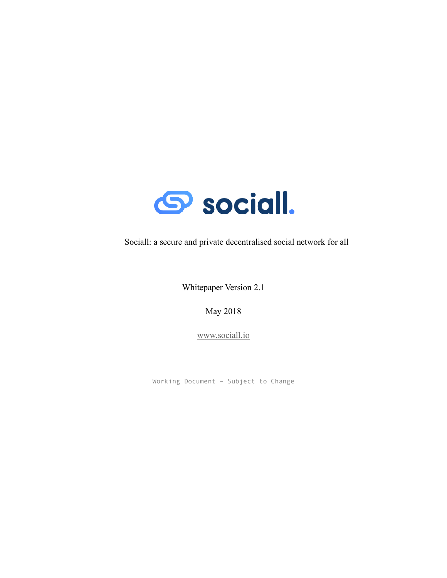

Sociall: a secure and private decentralised social network for all

Whitepaper Version 2.1

May 2018

www.sociall.io

Working Document – Subject to Change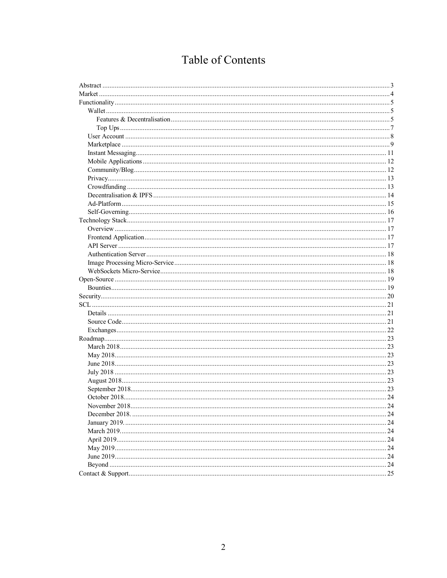# Table of Contents

| 24 |
|----|
|    |
|    |
|    |
|    |
|    |
|    |
|    |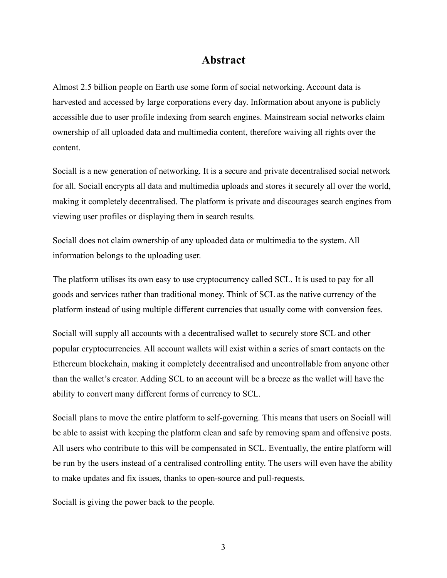# **Abstract**

Almost 2.5 billion people on Earth use some form of social networking. Account data is harvested and accessed by large corporations every day. Information about anyone is publicly accessible due to user profile indexing from search engines. Mainstream social networks claim ownership of all uploaded data and multimedia content, therefore waiving all rights over the content.

Sociall is a new generation of networking. It is a secure and private decentralised social network for all. Sociall encrypts all data and multimedia uploads and stores it securely all over the world, making it completely decentralised. The platform is private and discourages search engines from viewing user profiles or displaying them in search results.

Sociall does not claim ownership of any uploaded data or multimedia to the system. All information belongs to the uploading user.

The platform utilises its own easy to use cryptocurrency called SCL. It is used to pay for all goods and services rather than traditional money. Think of SCL as the native currency of the platform instead of using multiple different currencies that usually come with conversion fees.

Sociall will supply all accounts with a decentralised wallet to securely store SCL and other popular cryptocurrencies. All account wallets will exist within a series of smart contacts on the Ethereum blockchain, making it completely decentralised and uncontrollable from anyone other than the wallet's creator. Adding SCL to an account will be a breeze as the wallet will have the ability to convert many different forms of currency to SCL.

Sociall plans to move the entire platform to self-governing. This means that users on Sociall will be able to assist with keeping the platform clean and safe by removing spam and offensive posts. All users who contribute to this will be compensated in SCL. Eventually, the entire platform will be run by the users instead of a centralised controlling entity. The users will even have the ability to make updates and fix issues, thanks to open-source and pull-requests.

Sociall is giving the power back to the people.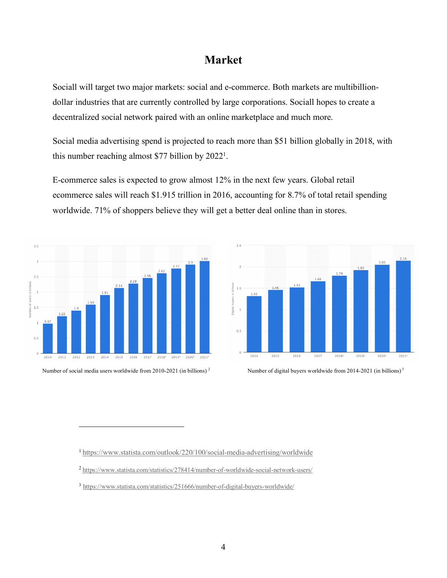# **Market**

Sociall will target two major markets: social and e-commerce. Both markets are multibilliondollar industries that are currently controlled by large corporations. Sociall hopes to create a decentralized social network paired with an online marketplace and much more.

Social media advertising spend is projected to reach more than \$51 billion globally in 2018, with this number reaching almost \$77 billion by  $2022<sup>1</sup>$ .

E-commerce sales is expected to grow almost 12% in the next few years. Global retail ecommerce sales will reach \$1.915 trillion in 2016, accounting for 8.7% of total retail spending worldwide. 71% of shoppers believe they will get a better deal online than in stores.



 $\overline{a}$ 



Number of social media users worldwide from 2010-2021 (in billions)<sup>2</sup> Number of digital buyers worldwide from 2014-2021 (in billions)<sup>3</sup>

1 https://www.statista.com/outlook/220/100/social-media-advertising/worldwide

<sup>2</sup> https://www.statista.com/statistics/278414/number-of-worldwide-social-network-users/

<sup>3</sup> https://www.statista.com/statistics/251666/number-of-digital-buyers-worldwide/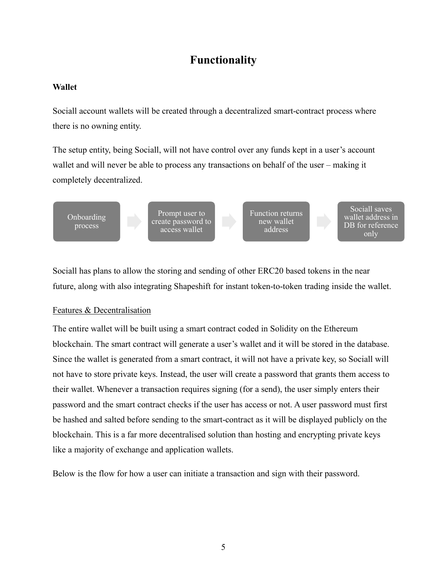# **Functionality**

# **Wallet**

Sociall account wallets will be created through a decentralized smart-contract process where there is no owning entity.

The setup entity, being Sociall, will not have control over any funds kept in a user's account wallet and will never be able to process any transactions on behalf of the user – making it completely decentralized.



Sociall has plans to allow the storing and sending of other ERC20 based tokens in the near future, along with also integrating Shapeshift for instant token-to-token trading inside the wallet.

# Features & Decentralisation

The entire wallet will be built using a smart contract coded in Solidity on the Ethereum blockchain. The smart contract will generate a user's wallet and it will be stored in the database. Since the wallet is generated from a smart contract, it will not have a private key, so Sociall will not have to store private keys. Instead, the user will create a password that grants them access to their wallet. Whenever a transaction requires signing (for a send), the user simply enters their password and the smart contract checks if the user has access or not. A user password must first be hashed and salted before sending to the smart-contract as it will be displayed publicly on the blockchain. This is a far more decentralised solution than hosting and encrypting private keys like a majority of exchange and application wallets.

Below is the flow for how a user can initiate a transaction and sign with their password.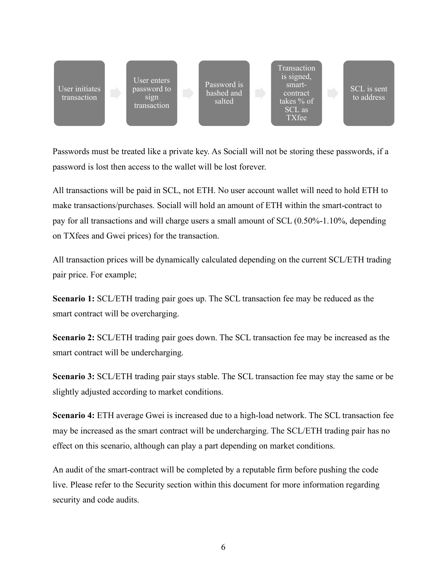

Passwords must be treated like a private key. As Sociall will not be storing these passwords, if a password is lost then access to the wallet will be lost forever.

All transactions will be paid in SCL, not ETH. No user account wallet will need to hold ETH to make transactions/purchases. Sociall will hold an amount of ETH within the smart-contract to pay for all transactions and will charge users a small amount of SCL (0.50%-1.10%, depending on TXfees and Gwei prices) for the transaction.

All transaction prices will be dynamically calculated depending on the current SCL/ETH trading pair price. For example;

**Scenario 1:** SCL/ETH trading pair goes up. The SCL transaction fee may be reduced as the smart contract will be overcharging.

**Scenario 2:** SCL/ETH trading pair goes down. The SCL transaction fee may be increased as the smart contract will be undercharging.

**Scenario 3:** SCL/ETH trading pair stays stable. The SCL transaction fee may stay the same or be slightly adjusted according to market conditions.

**Scenario 4:** ETH average Gwei is increased due to a high-load network. The SCL transaction fee may be increased as the smart contract will be undercharging. The SCL/ETH trading pair has no effect on this scenario, although can play a part depending on market conditions.

An audit of the smart-contract will be completed by a reputable firm before pushing the code live. Please refer to the Security section within this document for more information regarding security and code audits.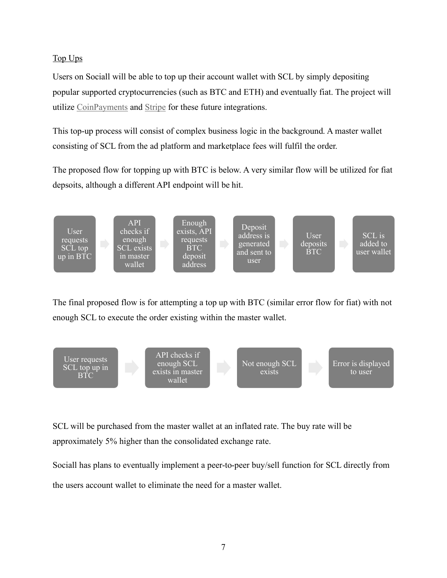# Top Ups

Users on Sociall will be able to top up their account wallet with SCL by simply depositing popular supported cryptocurrencies (such as BTC and ETH) and eventually fiat. The project will utilize CoinPayments and Stripe for these future integrations.

This top-up process will consist of complex business logic in the background. A master wallet consisting of SCL from the ad platform and marketplace fees will fulfil the order.

The proposed flow for topping up with BTC is below. A very similar flow will be utilized for fiat depsoits, although a different API endpoint will be hit.



The final proposed flow is for attempting a top up with BTC (similar error flow for fiat) with not enough SCL to execute the order existing within the master wallet.

![](_page_6_Figure_6.jpeg)

SCL will be purchased from the master wallet at an inflated rate. The buy rate will be approximately 5% higher than the consolidated exchange rate.

Sociall has plans to eventually implement a peer-to-peer buy/sell function for SCL directly from the users account wallet to eliminate the need for a master wallet.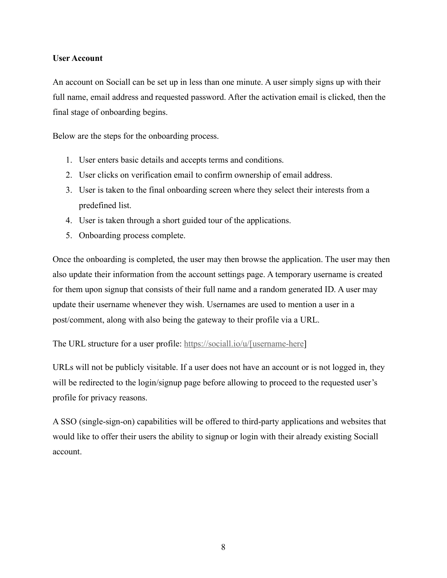### **User Account**

An account on Sociall can be set up in less than one minute. A user simply signs up with their full name, email address and requested password. After the activation email is clicked, then the final stage of onboarding begins.

Below are the steps for the onboarding process.

- 1. User enters basic details and accepts terms and conditions.
- 2. User clicks on verification email to confirm ownership of email address.
- 3. User is taken to the final onboarding screen where they select their interests from a predefined list.
- 4. User is taken through a short guided tour of the applications.
- 5. Onboarding process complete.

Once the onboarding is completed, the user may then browse the application. The user may then also update their information from the account settings page. A temporary username is created for them upon signup that consists of their full name and a random generated ID. A user may update their username whenever they wish. Usernames are used to mention a user in a post/comment, along with also being the gateway to their profile via a URL.

The URL structure for a user profile: https://sociall.io/u/[username-here]

URLs will not be publicly visitable. If a user does not have an account or is not logged in, they will be redirected to the login/signup page before allowing to proceed to the requested user's profile for privacy reasons.

A SSO (single-sign-on) capabilities will be offered to third-party applications and websites that would like to offer their users the ability to signup or login with their already existing Sociall account.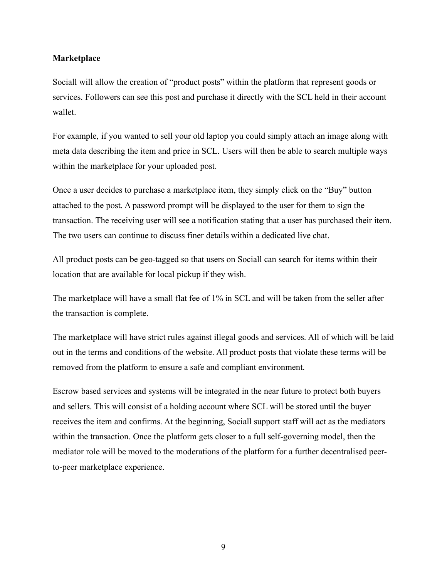#### **Marketplace**

Sociall will allow the creation of "product posts" within the platform that represent goods or services. Followers can see this post and purchase it directly with the SCL held in their account wallet.

For example, if you wanted to sell your old laptop you could simply attach an image along with meta data describing the item and price in SCL. Users will then be able to search multiple ways within the marketplace for your uploaded post.

Once a user decides to purchase a marketplace item, they simply click on the "Buy" button attached to the post. A password prompt will be displayed to the user for them to sign the transaction. The receiving user will see a notification stating that a user has purchased their item. The two users can continue to discuss finer details within a dedicated live chat.

All product posts can be geo-tagged so that users on Sociall can search for items within their location that are available for local pickup if they wish.

The marketplace will have a small flat fee of 1% in SCL and will be taken from the seller after the transaction is complete.

The marketplace will have strict rules against illegal goods and services. All of which will be laid out in the terms and conditions of the website. All product posts that violate these terms will be removed from the platform to ensure a safe and compliant environment.

Escrow based services and systems will be integrated in the near future to protect both buyers and sellers. This will consist of a holding account where SCL will be stored until the buyer receives the item and confirms. At the beginning, Sociall support staff will act as the mediators within the transaction. Once the platform gets closer to a full self-governing model, then the mediator role will be moved to the moderations of the platform for a further decentralised peerto-peer marketplace experience.

9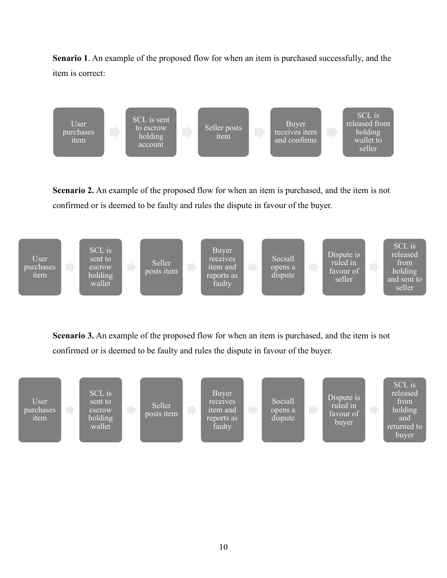**Senario 1**. An example of the proposed flow for when an item is purchased successfully, and the item is correct:

![](_page_9_Figure_1.jpeg)

**Scenario 2.** An example of the proposed flow for when an item is purchased, and the item is not confirmed or is deemed to be faulty and rules the dispute in favour of the buyer.

![](_page_9_Figure_3.jpeg)

**Scenario 3.** An example of the proposed flow for when an item is purchased, and the item is not confirmed or is deemed to be faulty and rules the dispute in favour of the buyer.

![](_page_9_Figure_5.jpeg)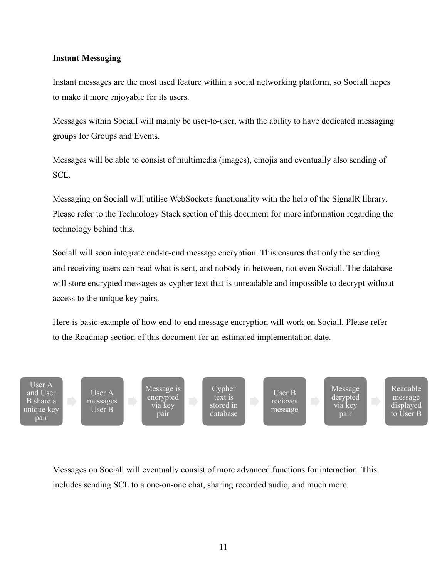### **Instant Messaging**

Instant messages are the most used feature within a social networking platform, so Sociall hopes to make it more enjoyable for its users.

Messages within Sociall will mainly be user-to-user, with the ability to have dedicated messaging groups for Groups and Events.

Messages will be able to consist of multimedia (images), emojis and eventually also sending of SCL.

Messaging on Sociall will utilise WebSockets functionality with the help of the SignalR library. Please refer to the Technology Stack section of this document for more information regarding the technology behind this.

Sociall will soon integrate end-to-end message encryption. This ensures that only the sending and receiving users can read what is sent, and nobody in between, not even Sociall. The database will store encrypted messages as cypher text that is unreadable and impossible to decrypt without access to the unique key pairs.

Here is basic example of how end-to-end message encryption will work on Sociall. Please refer to the Roadmap section of this document for an estimated implementation date.

User A and User B share a unique key pair

User A messages User B

Message is encrypted via key pair

Cypher<sup>1</sup> text is stored in database

User B recieves message Message derypted via key pair

Readable message displayed to User B

Messages on Sociall will eventually consist of more advanced functions for interaction. This includes sending SCL to a one-on-one chat, sharing recorded audio, and much more.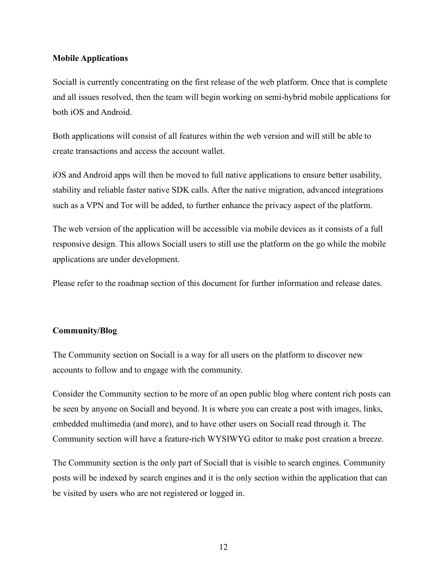### **Mobile Applications**

Sociall is currently concentrating on the first release of the web platform. Once that is complete and all issues resolved, then the team will begin working on semi-hybrid mobile applications for both iOS and Android.

Both applications will consist of all features within the web version and will still be able to create transactions and access the account wallet.

iOS and Android apps will then be moved to full native applications to ensure better usability, stability and reliable faster native SDK calls. After the native migration, advanced integrations such as a VPN and Tor will be added, to further enhance the privacy aspect of the platform.

The web version of the application will be accessible via mobile devices as it consists of a full responsive design. This allows Sociall users to still use the platform on the go while the mobile applications are under development.

Please refer to the roadmap section of this document for further information and release dates.

### **Community/Blog**

The Community section on Sociall is a way for all users on the platform to discover new accounts to follow and to engage with the community.

Consider the Community section to be more of an open public blog where content rich posts can be seen by anyone on Sociall and beyond. It is where you can create a post with images, links, embedded multimedia (and more), and to have other users on Sociall read through it. The Community section will have a feature-rich WYSIWYG editor to make post creation a breeze.

The Community section is the only part of Sociall that is visible to search engines. Community posts will be indexed by search engines and it is the only section within the application that can be visited by users who are not registered or logged in.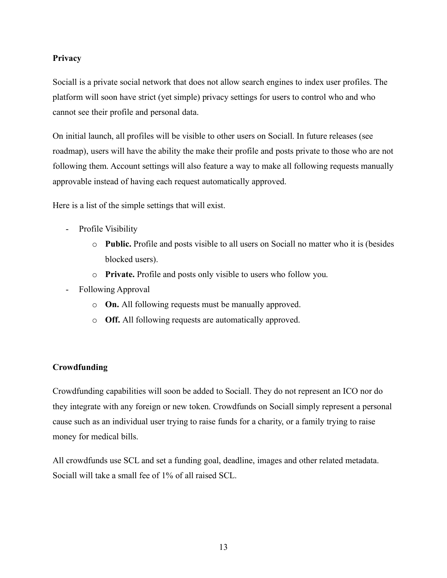### **Privacy**

Sociall is a private social network that does not allow search engines to index user profiles. The platform will soon have strict (yet simple) privacy settings for users to control who and who cannot see their profile and personal data.

On initial launch, all profiles will be visible to other users on Sociall. In future releases (see roadmap), users will have the ability the make their profile and posts private to those who are not following them. Account settings will also feature a way to make all following requests manually approvable instead of having each request automatically approved.

Here is a list of the simple settings that will exist.

- Profile Visibility
	- o **Public.** Profile and posts visible to all users on Sociall no matter who it is (besides blocked users).
	- o **Private.** Profile and posts only visible to users who follow you.
- Following Approval
	- o **On.** All following requests must be manually approved.
	- o **Off.** All following requests are automatically approved.

# **Crowdfunding**

Crowdfunding capabilities will soon be added to Sociall. They do not represent an ICO nor do they integrate with any foreign or new token. Crowdfunds on Sociall simply represent a personal cause such as an individual user trying to raise funds for a charity, or a family trying to raise money for medical bills.

All crowdfunds use SCL and set a funding goal, deadline, images and other related metadata. Sociall will take a small fee of 1% of all raised SCL.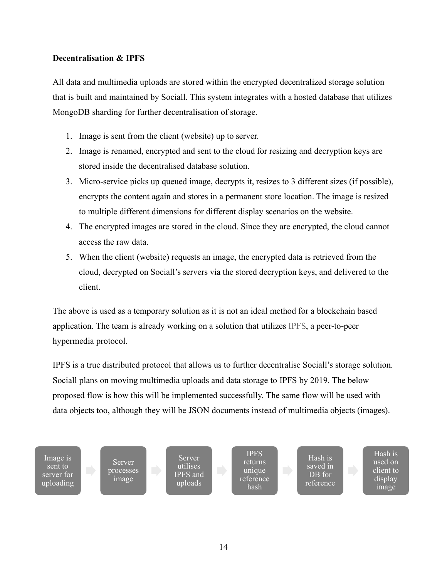## **Decentralisation & IPFS**

All data and multimedia uploads are stored within the encrypted decentralized storage solution that is built and maintained by Sociall. This system integrates with a hosted database that utilizes MongoDB sharding for further decentralisation of storage.

- 1. Image is sent from the client (website) up to server.
- 2. Image is renamed, encrypted and sent to the cloud for resizing and decryption keys are stored inside the decentralised database solution.
- 3. Micro-service picks up queued image, decrypts it, resizes to 3 different sizes (if possible), encrypts the content again and stores in a permanent store location. The image is resized to multiple different dimensions for different display scenarios on the website.
- 4. The encrypted images are stored in the cloud. Since they are encrypted, the cloud cannot access the raw data.
- 5. When the client (website) requests an image, the encrypted data is retrieved from the cloud, decrypted on Sociall's servers via the stored decryption keys, and delivered to the client.

The above is used as a temporary solution as it is not an ideal method for a blockchain based application. The team is already working on a solution that utilizes IPFS, a peer-to-peer hypermedia protocol.

IPFS is a true distributed protocol that allows us to further decentralise Sociall's storage solution. Sociall plans on moving multimedia uploads and data storage to IPFS by 2019. The below proposed flow is how this will be implemented successfully. The same flow will be used with data objects too, although they will be JSON documents instead of multimedia objects (images).

![](_page_13_Figure_9.jpeg)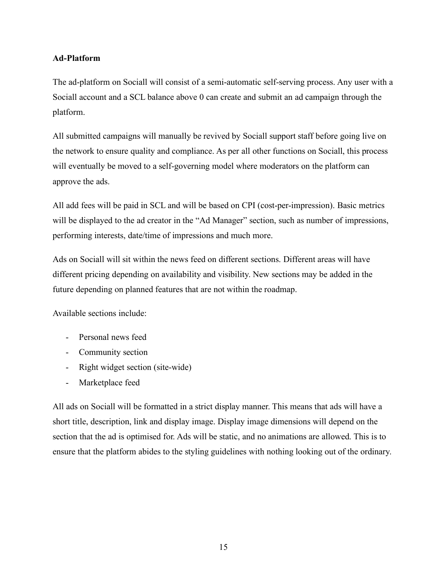# **Ad-Platform**

The ad-platform on Sociall will consist of a semi-automatic self-serving process. Any user with a Sociall account and a SCL balance above 0 can create and submit an ad campaign through the platform.

All submitted campaigns will manually be revived by Sociall support staff before going live on the network to ensure quality and compliance. As per all other functions on Sociall, this process will eventually be moved to a self-governing model where moderators on the platform can approve the ads.

All add fees will be paid in SCL and will be based on CPI (cost-per-impression). Basic metrics will be displayed to the ad creator in the "Ad Manager" section, such as number of impressions, performing interests, date/time of impressions and much more.

Ads on Sociall will sit within the news feed on different sections. Different areas will have different pricing depending on availability and visibility. New sections may be added in the future depending on planned features that are not within the roadmap.

Available sections include:

- Personal news feed
- Community section
- Right widget section (site-wide)
- Marketplace feed

All ads on Sociall will be formatted in a strict display manner. This means that ads will have a short title, description, link and display image. Display image dimensions will depend on the section that the ad is optimised for. Ads will be static, and no animations are allowed. This is to ensure that the platform abides to the styling guidelines with nothing looking out of the ordinary.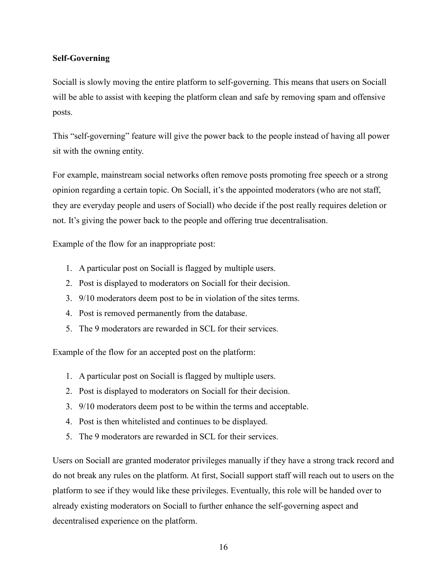## **Self-Governing**

Sociall is slowly moving the entire platform to self-governing. This means that users on Sociall will be able to assist with keeping the platform clean and safe by removing spam and offensive posts.

This "self-governing" feature will give the power back to the people instead of having all power sit with the owning entity.

For example, mainstream social networks often remove posts promoting free speech or a strong opinion regarding a certain topic. On Sociall, it's the appointed moderators (who are not staff, they are everyday people and users of Sociall) who decide if the post really requires deletion or not. It's giving the power back to the people and offering true decentralisation.

Example of the flow for an inappropriate post:

- 1. A particular post on Sociall is flagged by multiple users.
- 2. Post is displayed to moderators on Sociall for their decision.
- 3. 9/10 moderators deem post to be in violation of the sites terms.
- 4. Post is removed permanently from the database.
- 5. The 9 moderators are rewarded in SCL for their services.

Example of the flow for an accepted post on the platform:

- 1. A particular post on Sociall is flagged by multiple users.
- 2. Post is displayed to moderators on Sociall for their decision.
- 3. 9/10 moderators deem post to be within the terms and acceptable.
- 4. Post is then whitelisted and continues to be displayed.
- 5. The 9 moderators are rewarded in SCL for their services.

Users on Sociall are granted moderator privileges manually if they have a strong track record and do not break any rules on the platform. At first, Sociall support staff will reach out to users on the platform to see if they would like these privileges. Eventually, this role will be handed over to already existing moderators on Sociall to further enhance the self-governing aspect and decentralised experience on the platform.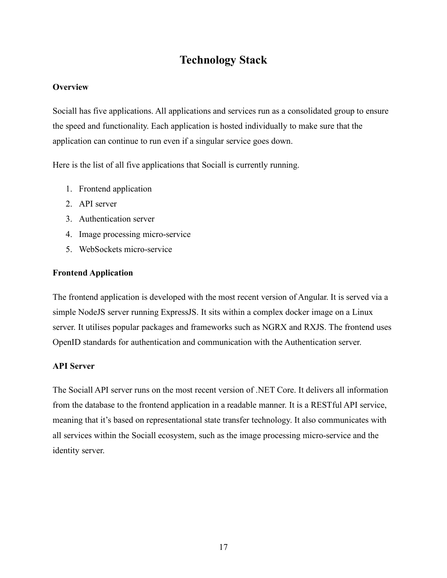# **Technology Stack**

# **Overview**

Sociall has five applications. All applications and services run as a consolidated group to ensure the speed and functionality. Each application is hosted individually to make sure that the application can continue to run even if a singular service goes down.

Here is the list of all five applications that Sociall is currently running.

- 1. Frontend application
- 2. API server
- 3. Authentication server
- 4. Image processing micro-service
- 5. WebSockets micro-service

# **Frontend Application**

The frontend application is developed with the most recent version of Angular. It is served via a simple NodeJS server running ExpressJS. It sits within a complex docker image on a Linux server. It utilises popular packages and frameworks such as NGRX and RXJS. The frontend uses OpenID standards for authentication and communication with the Authentication server.

# **API Server**

The Sociall API server runs on the most recent version of .NET Core. It delivers all information from the database to the frontend application in a readable manner. It is a RESTful API service, meaning that it's based on representational state transfer technology. It also communicates with all services within the Sociall ecosystem, such as the image processing micro-service and the identity server.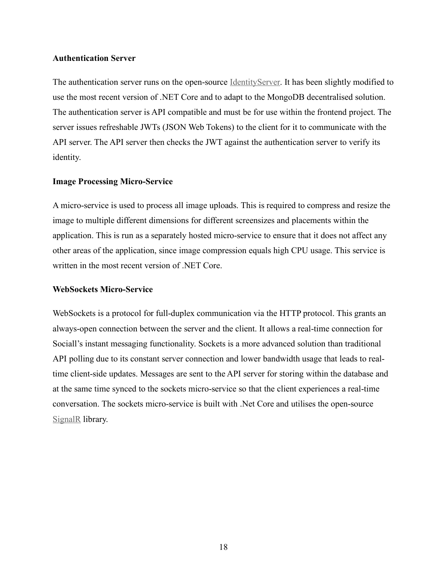#### **Authentication Server**

The authentication server runs on the open-source IdentityServer. It has been slightly modified to use the most recent version of .NET Core and to adapt to the MongoDB decentralised solution. The authentication server is API compatible and must be for use within the frontend project. The server issues refreshable JWTs (JSON Web Tokens) to the client for it to communicate with the API server. The API server then checks the JWT against the authentication server to verify its identity.

### **Image Processing Micro-Service**

A micro-service is used to process all image uploads. This is required to compress and resize the image to multiple different dimensions for different screensizes and placements within the application. This is run as a separately hosted micro-service to ensure that it does not affect any other areas of the application, since image compression equals high CPU usage. This service is written in the most recent version of .NET Core.

### **WebSockets Micro-Service**

WebSockets is a protocol for full-duplex communication via the HTTP protocol. This grants an always-open connection between the server and the client. It allows a real-time connection for Sociall's instant messaging functionality. Sockets is a more advanced solution than traditional API polling due to its constant server connection and lower bandwidth usage that leads to realtime client-side updates. Messages are sent to the API server for storing within the database and at the same time synced to the sockets micro-service so that the client experiences a real-time conversation. The sockets micro-service is built with .Net Core and utilises the open-source SignalR library.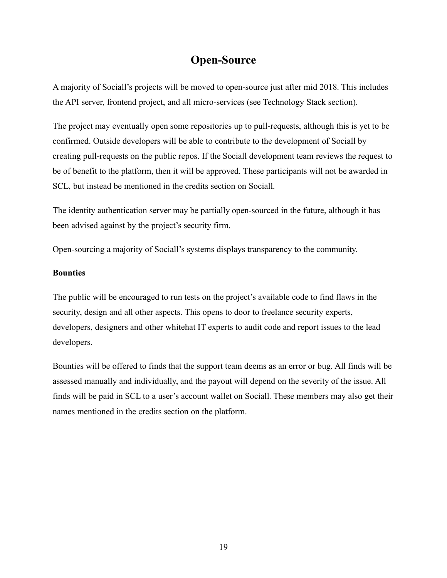# **Open-Source**

A majority of Sociall's projects will be moved to open-source just after mid 2018. This includes the API server, frontend project, and all micro-services (see Technology Stack section).

The project may eventually open some repositories up to pull-requests, although this is yet to be confirmed. Outside developers will be able to contribute to the development of Sociall by creating pull-requests on the public repos. If the Sociall development team reviews the request to be of benefit to the platform, then it will be approved. These participants will not be awarded in SCL, but instead be mentioned in the credits section on Sociall.

The identity authentication server may be partially open-sourced in the future, although it has been advised against by the project's security firm.

Open-sourcing a majority of Sociall's systems displays transparency to the community.

### **Bounties**

The public will be encouraged to run tests on the project's available code to find flaws in the security, design and all other aspects. This opens to door to freelance security experts, developers, designers and other whitehat IT experts to audit code and report issues to the lead developers.

Bounties will be offered to finds that the support team deems as an error or bug. All finds will be assessed manually and individually, and the payout will depend on the severity of the issue. All finds will be paid in SCL to a user's account wallet on Sociall. These members may also get their names mentioned in the credits section on the platform.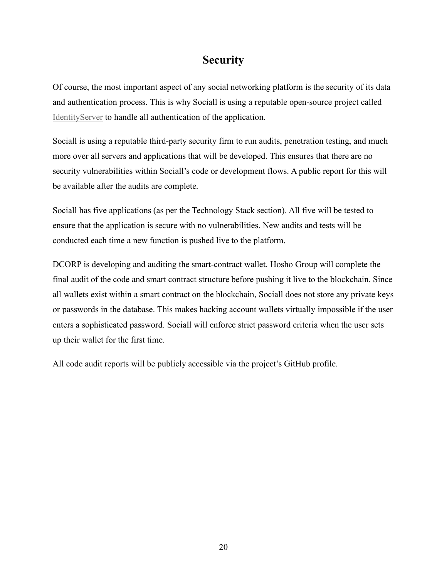# **Security**

Of course, the most important aspect of any social networking platform is the security of its data and authentication process. This is why Sociall is using a reputable open-source project called IdentityServer to handle all authentication of the application.

Sociall is using a reputable third-party security firm to run audits, penetration testing, and much more over all servers and applications that will be developed. This ensures that there are no security vulnerabilities within Sociall's code or development flows. A public report for this will be available after the audits are complete.

Sociall has five applications (as per the Technology Stack section). All five will be tested to ensure that the application is secure with no vulnerabilities. New audits and tests will be conducted each time a new function is pushed live to the platform.

DCORP is developing and auditing the smart-contract wallet. Hosho Group will complete the final audit of the code and smart contract structure before pushing it live to the blockchain. Since all wallets exist within a smart contract on the blockchain, Sociall does not store any private keys or passwords in the database. This makes hacking account wallets virtually impossible if the user enters a sophisticated password. Sociall will enforce strict password criteria when the user sets up their wallet for the first time.

All code audit reports will be publicly accessible via the project's GitHub profile.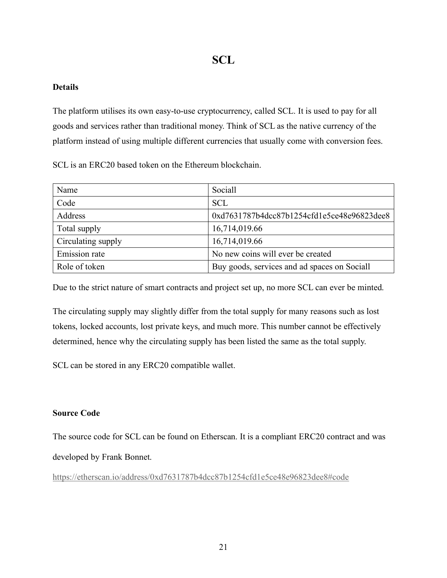# **SCL**

# **Details**

The platform utilises its own easy-to-use cryptocurrency, called SCL. It is used to pay for all goods and services rather than traditional money. Think of SCL as the native currency of the platform instead of using multiple different currencies that usually come with conversion fees.

SCL is an ERC20 based token on the Ethereum blockchain.

| Name                 | Sociall                                      |
|----------------------|----------------------------------------------|
| Code                 | <b>SCL</b>                                   |
| Address              | 0xd7631787b4dcc87b1254cfd1e5ce48e96823dee8   |
| Total supply         | 16,714,019.66                                |
| Circulating supply   | 16,714,019.66                                |
| <b>Emission</b> rate | No new coins will ever be created            |
| Role of token        | Buy goods, services and ad spaces on Sociall |

Due to the strict nature of smart contracts and project set up, no more SCL can ever be minted.

The circulating supply may slightly differ from the total supply for many reasons such as lost tokens, locked accounts, lost private keys, and much more. This number cannot be effectively determined, hence why the circulating supply has been listed the same as the total supply.

SCL can be stored in any ERC20 compatible wallet.

# **Source Code**

The source code for SCL can be found on Etherscan. It is a compliant ERC20 contract and was developed by Frank Bonnet.

https://etherscan.io/address/0xd7631787b4dcc87b1254cfd1e5ce48e96823dee8#code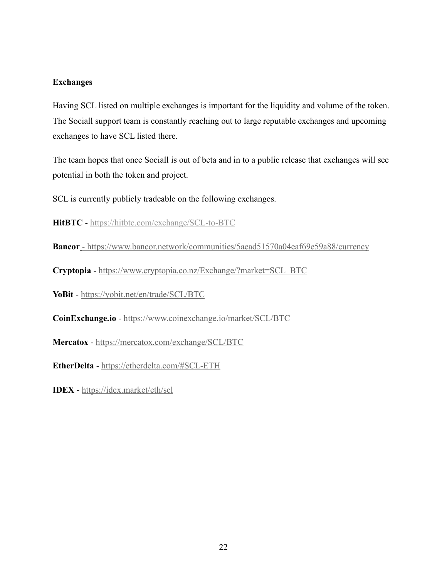## **Exchanges**

Having SCL listed on multiple exchanges is important for the liquidity and volume of the token. The Sociall support team is constantly reaching out to large reputable exchanges and upcoming exchanges to have SCL listed there.

The team hopes that once Sociall is out of beta and in to a public release that exchanges will see potential in both the token and project.

SCL is currently publicly tradeable on the following exchanges.

**HitBTC** - https://hitbtc.com/exchange/SCL-to-BTC

**Bancor** - https://www.bancor.network/communities/5aead51570a04eaf69e59a88/currency

**Cryptopia** - https://www.cryptopia.co.nz/Exchange/?market=SCL\_BTC

**YoBit** - https://yobit.net/en/trade/SCL/BTC

**CoinExchange.io** - https://www.coinexchange.io/market/SCL/BTC

**Mercatox** - https://mercatox.com/exchange/SCL/BTC

**EtherDelta** - https://etherdelta.com/#SCL-ETH

**IDEX** - https://idex.market/eth/scl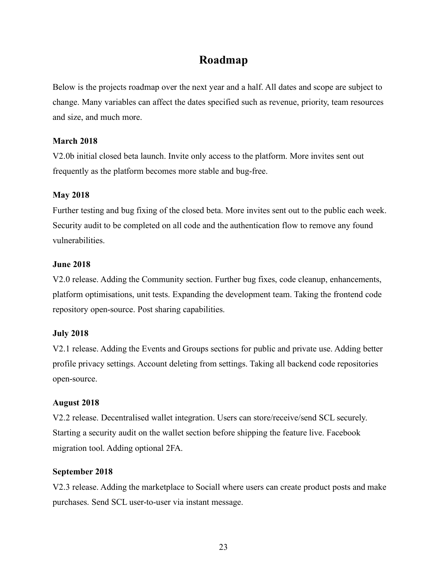# **Roadmap**

Below is the projects roadmap over the next year and a half. All dates and scope are subject to change. Many variables can affect the dates specified such as revenue, priority, team resources and size, and much more.

## **March 2018**

V2.0b initial closed beta launch. Invite only access to the platform. More invites sent out frequently as the platform becomes more stable and bug-free.

## **May 2018**

Further testing and bug fixing of the closed beta. More invites sent out to the public each week. Security audit to be completed on all code and the authentication flow to remove any found vulnerabilities.

## **June 2018**

V2.0 release. Adding the Community section. Further bug fixes, code cleanup, enhancements, platform optimisations, unit tests. Expanding the development team. Taking the frontend code repository open-source. Post sharing capabilities.

# **July 2018**

V2.1 release. Adding the Events and Groups sections for public and private use. Adding better profile privacy settings. Account deleting from settings. Taking all backend code repositories open-source.

### **August 2018**

V2.2 release. Decentralised wallet integration. Users can store/receive/send SCL securely. Starting a security audit on the wallet section before shipping the feature live. Facebook migration tool. Adding optional 2FA.

### **September 2018**

V2.3 release. Adding the marketplace to Sociall where users can create product posts and make purchases. Send SCL user-to-user via instant message.

23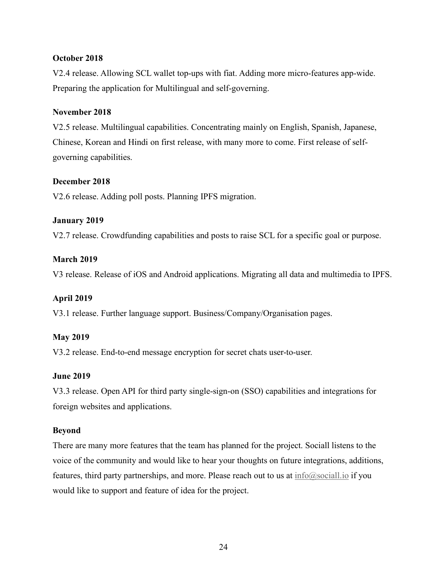## **October 2018**

V2.4 release. Allowing SCL wallet top-ups with fiat. Adding more micro-features app-wide. Preparing the application for Multilingual and self-governing.

### **November 2018**

V2.5 release. Multilingual capabilities. Concentrating mainly on English, Spanish, Japanese, Chinese, Korean and Hindi on first release, with many more to come. First release of selfgoverning capabilities.

#### **December 2018**

V2.6 release. Adding poll posts. Planning IPFS migration.

### **January 2019**

V2.7 release. Crowdfunding capabilities and posts to raise SCL for a specific goal or purpose.

## **March 2019**

V3 release. Release of iOS and Android applications. Migrating all data and multimedia to IPFS.

### **April 2019**

V3.1 release. Further language support. Business/Company/Organisation pages.

### **May 2019**

V3.2 release. End-to-end message encryption for secret chats user-to-user.

### **June 2019**

V3.3 release. Open API for third party single-sign-on (SSO) capabilities and integrations for foreign websites and applications.

### **Beyond**

There are many more features that the team has planned for the project. Sociall listens to the voice of the community and would like to hear your thoughts on future integrations, additions, features, third party partnerships, and more. Please reach out to us at  $\inf_{\Omega}(\partial s)$  if you would like to support and feature of idea for the project.